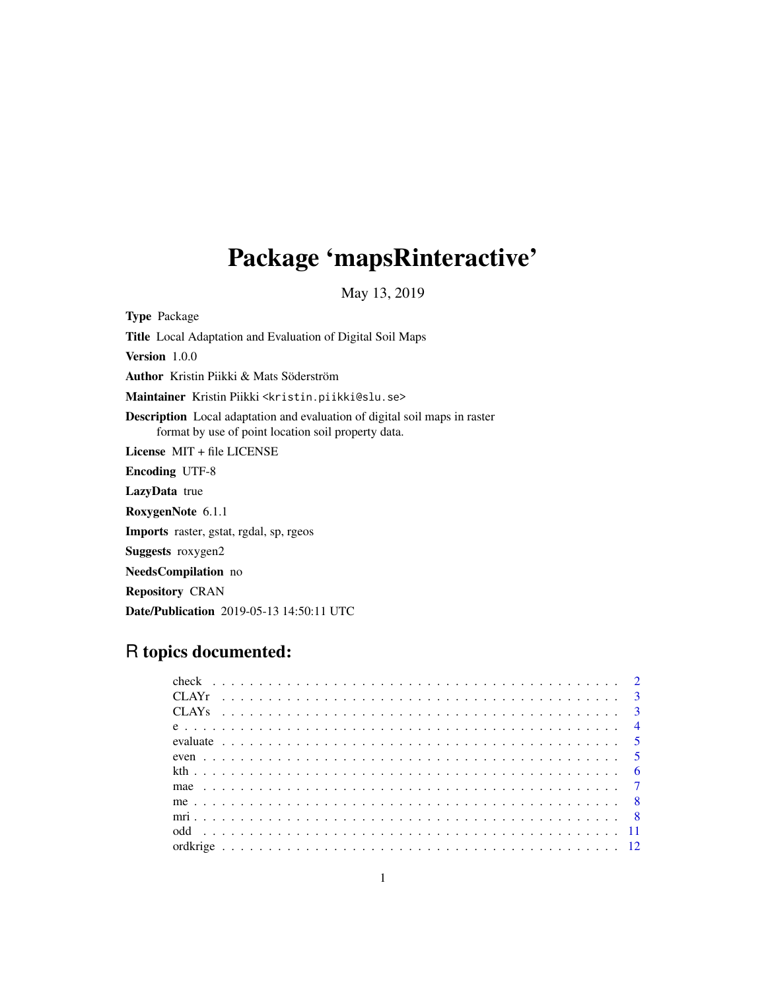# Package 'mapsRinteractive'

May 13, 2019

Type Package Title Local Adaptation and Evaluation of Digital Soil Maps Version 1.0.0 Author Kristin Piikki & Mats Söderström Maintainer Kristin Piikki <kristin.piikki@slu.se> Description Local adaptation and evaluation of digital soil maps in raster format by use of point location soil property data. License MIT + file LICENSE Encoding UTF-8 LazyData true RoxygenNote 6.1.1 Imports raster, gstat, rgdal, sp, rgeos Suggests roxygen2 NeedsCompilation no Repository CRAN Date/Publication 2019-05-13 14:50:11 UTC

# R topics documented: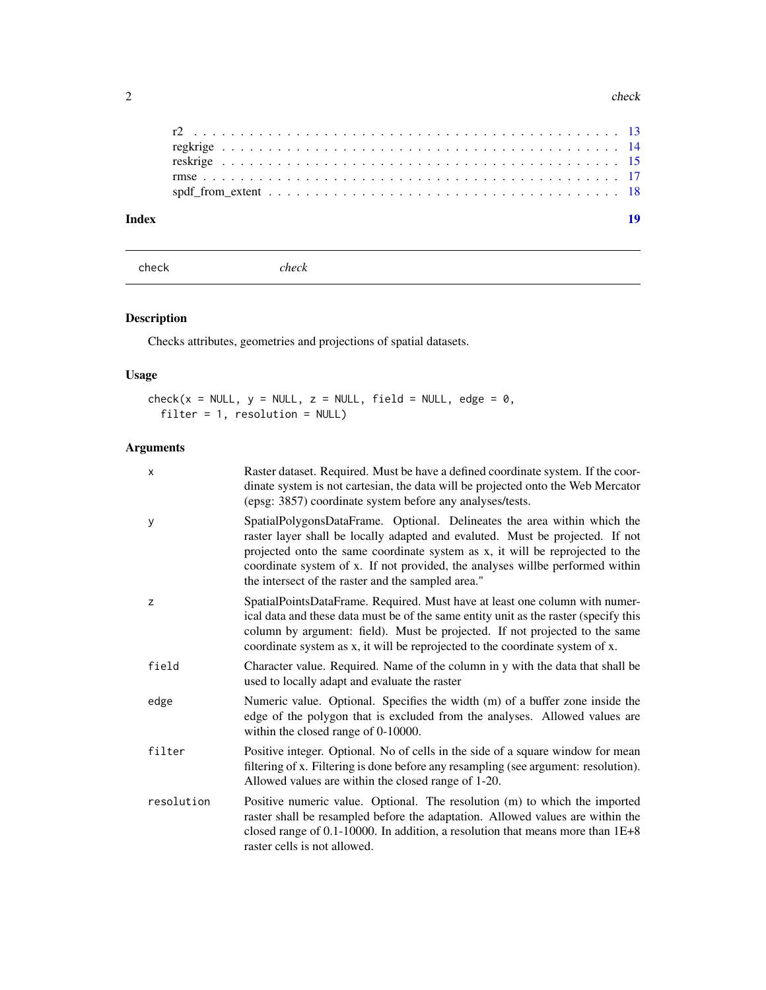#### 2 check and the check of the check of the check of the check of the check of the check of the check

| Index |  |  |  |  |  |
|-------|--|--|--|--|--|
|       |  |  |  |  |  |
|       |  |  |  |  |  |
|       |  |  |  |  |  |
|       |  |  |  |  |  |

check *check*

# Description

Checks attributes, geometries and projections of spatial datasets.

# Usage

```
check(x = NULL, y = NULL, z = NULL, field = NULL, edge = 0,filter = 1, resolution = NULL)
```

| X          | Raster dataset. Required. Must be have a defined coordinate system. If the coor-<br>dinate system is not cartesian, the data will be projected onto the Web Mercator<br>(epsg: 3857) coordinate system before any analyses/tests.                                                                                                                                                 |
|------------|-----------------------------------------------------------------------------------------------------------------------------------------------------------------------------------------------------------------------------------------------------------------------------------------------------------------------------------------------------------------------------------|
| y          | SpatialPolygonsDataFrame. Optional. Delineates the area within which the<br>raster layer shall be locally adapted and evaluted. Must be projected. If not<br>projected onto the same coordinate system as x, it will be reprojected to the<br>coordinate system of x. If not provided, the analyses willbe performed within<br>the intersect of the raster and the sampled area." |
| Z          | SpatialPointsDataFrame. Required. Must have at least one column with numer-<br>ical data and these data must be of the same entity unit as the raster (specify this<br>column by argument: field). Must be projected. If not projected to the same<br>coordinate system as x, it will be reprojected to the coordinate system of x.                                               |
| field      | Character value. Required. Name of the column in y with the data that shall be<br>used to locally adapt and evaluate the raster                                                                                                                                                                                                                                                   |
| edge       | Numeric value. Optional. Specifies the width (m) of a buffer zone inside the<br>edge of the polygon that is excluded from the analyses. Allowed values are<br>within the closed range of 0-10000.                                                                                                                                                                                 |
| filter     | Positive integer. Optional. No of cells in the side of a square window for mean<br>filtering of x. Filtering is done before any resampling (see argument: resolution).<br>Allowed values are within the closed range of 1-20.                                                                                                                                                     |
| resolution | Positive numeric value. Optional. The resolution (m) to which the imported<br>raster shall be resampled before the adaptation. Allowed values are within the<br>closed range of $0.1$ -10000. In addition, a resolution that means more than $1E+8$<br>raster cells is not allowed.                                                                                               |

<span id="page-1-0"></span>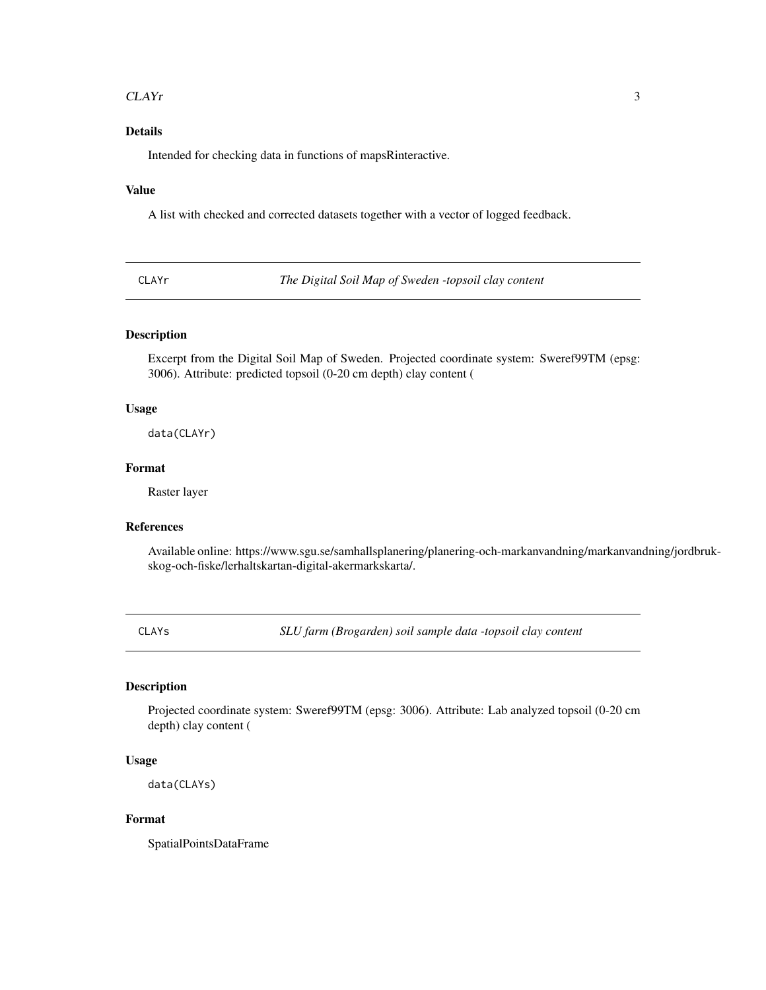#### <span id="page-2-0"></span>CLAYr 3

#### Details

Intended for checking data in functions of mapsRinteractive.

#### Value

A list with checked and corrected datasets together with a vector of logged feedback.

CLAYr *The Digital Soil Map of Sweden -topsoil clay content*

#### Description

Excerpt from the Digital Soil Map of Sweden. Projected coordinate system: Sweref99TM (epsg: 3006). Attribute: predicted topsoil (0-20 cm depth) clay content (

#### Usage

data(CLAYr)

#### Format

Raster layer

#### References

Available online: https://www.sgu.se/samhallsplanering/planering-och-markanvandning/markanvandning/jordbrukskog-och-fiske/lerhaltskartan-digital-akermarkskarta/.

CLAYs *SLU farm (Brogarden) soil sample data -topsoil clay content*

#### Description

Projected coordinate system: Sweref99TM (epsg: 3006). Attribute: Lab analyzed topsoil (0-20 cm depth) clay content (

#### Usage

data(CLAYs)

#### Format

SpatialPointsDataFrame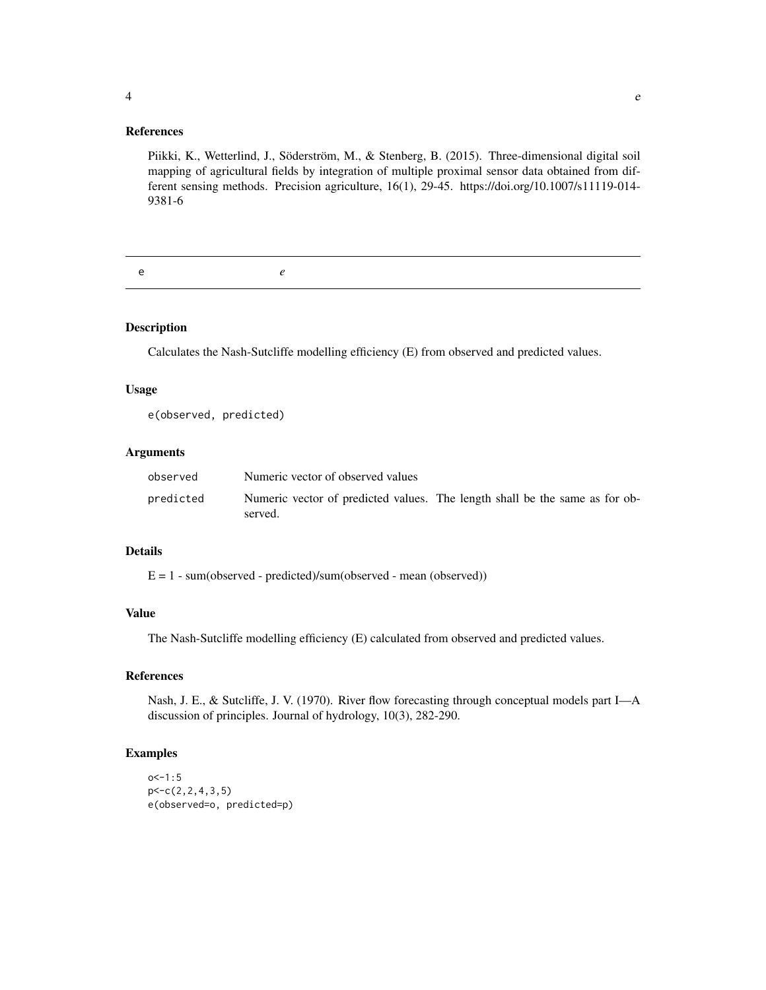#### References

Piikki, K., Wetterlind, J., Söderström, M., & Stenberg, B. (2015). Three-dimensional digital soil mapping of agricultural fields by integration of multiple proximal sensor data obtained from different sensing methods. Precision agriculture, 16(1), 29-45. https://doi.org/10.1007/s11119-014- 9381-6

e *e*

#### Description

Calculates the Nash-Sutcliffe modelling efficiency (E) from observed and predicted values.

#### Usage

e(observed, predicted)

#### Arguments

| observed  | Numeric vector of observed values                                                      |  |  |
|-----------|----------------------------------------------------------------------------------------|--|--|
| predicted | Numeric vector of predicted values. The length shall be the same as for ob-<br>served. |  |  |

#### Details

E = 1 - sum(observed - predicted)/sum(observed - mean (observed))

#### Value

The Nash-Sutcliffe modelling efficiency (E) calculated from observed and predicted values.

#### References

Nash, J. E., & Sutcliffe, J. V. (1970). River flow forecasting through conceptual models part I—A discussion of principles. Journal of hydrology, 10(3), 282-290.

```
o < -1:5p<-c(2,2,4,3,5)
e(observed=o, predicted=p)
```
<span id="page-3-0"></span>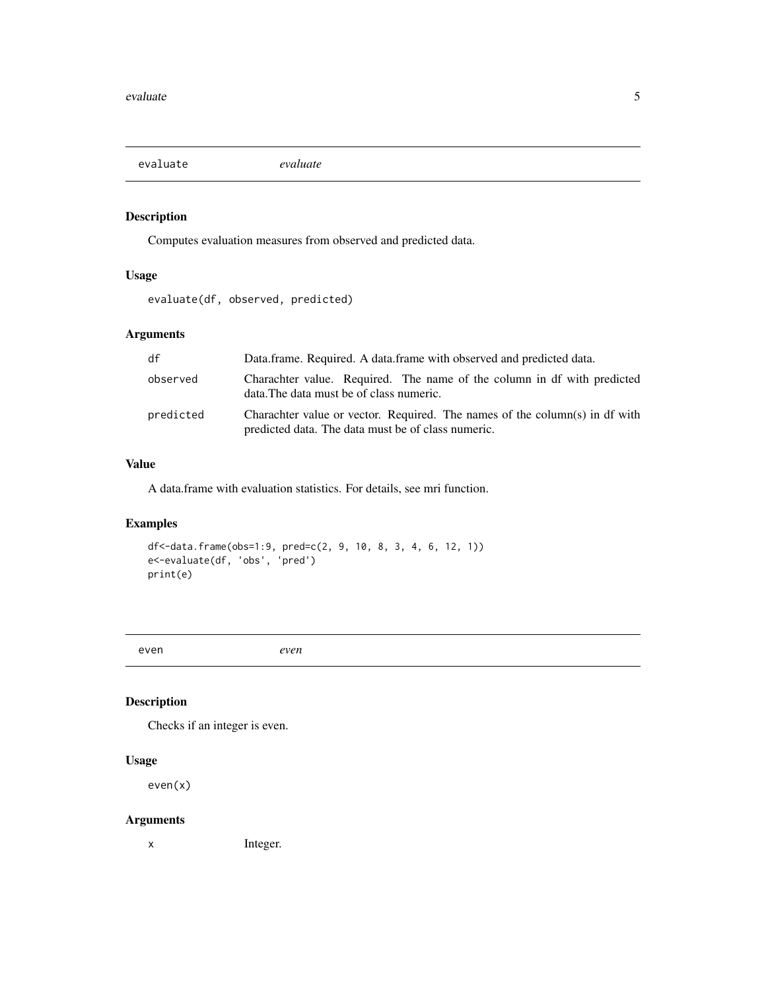<span id="page-4-0"></span>evaluate *evaluate*

#### Description

Computes evaluation measures from observed and predicted data.

# Usage

```
evaluate(df, observed, predicted)
```
#### Arguments

| df        | Data.frame. Required. A data.frame with observed and predicted data.                                                              |
|-----------|-----------------------------------------------------------------------------------------------------------------------------------|
| observed  | Charachter value. Required. The name of the column in df with predicted<br>data. The data must be of class numeric.               |
| predicted | Charachter value or vector. Required. The names of the column(s) in df with<br>predicted data. The data must be of class numeric. |

#### Value

A data.frame with evaluation statistics. For details, see mri function.

# Examples

```
df<-data.frame(obs=1:9, pred=c(2, 9, 10, 8, 3, 4, 6, 12, 1))
e<-evaluate(df, 'obs', 'pred')
print(e)
```
even *even*

# Description

Checks if an integer is even.

#### Usage

even(x)

#### Arguments

x Integer.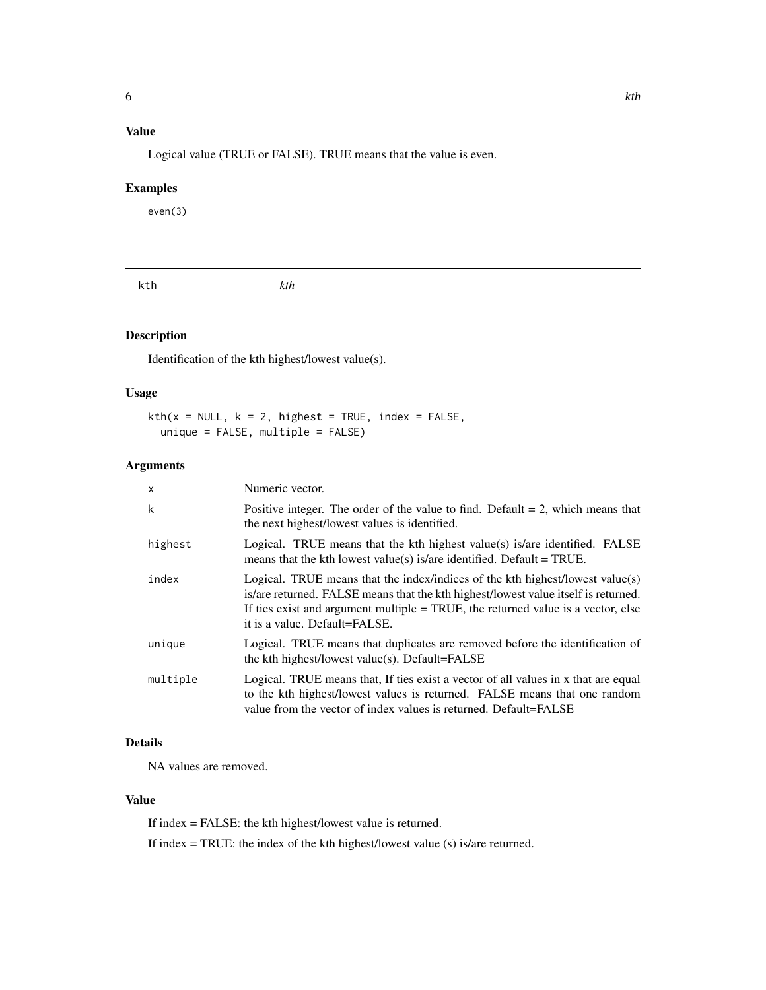# <span id="page-5-0"></span>Value

Logical value (TRUE or FALSE). TRUE means that the value is even.

#### Examples

even(3)

#### Description

Identification of the kth highest/lowest value(s).

#### Usage

 $kth(x = NULL, k = 2, highest = TRUE, index = FALSE,$ unique = FALSE, multiple = FALSE)

#### Arguments

| $\mathsf{x}$ | Numeric vector.                                                                                                                                                                                                                                                                            |
|--------------|--------------------------------------------------------------------------------------------------------------------------------------------------------------------------------------------------------------------------------------------------------------------------------------------|
| k            | Positive integer. The order of the value to find. Default $= 2$ , which means that<br>the next highest/lowest values is identified.                                                                                                                                                        |
| highest      | Logical. TRUE means that the kth highest value(s) is/are identified. FALSE<br>means that the kth lowest value(s) is/are identified. Default = TRUE.                                                                                                                                        |
| index        | Logical. TRUE means that the index/indices of the kth highest/lowest value(s)<br>is/are returned. FALSE means that the kth highest/lowest value itself is returned.<br>If ties exist and argument multiple $=$ TRUE, the returned value is a vector, else<br>it is a value. Default=FALSE. |
| unique       | Logical. TRUE means that duplicates are removed before the identification of<br>the kth highest/lowest value(s). Default=FALSE                                                                                                                                                             |
| multiple     | Logical. TRUE means that, If ties exist a vector of all values in x that are equal<br>to the kth highest/lowest values is returned. FALSE means that one random<br>value from the vector of index values is returned. Default=FALSE                                                        |

# Details

NA values are removed.

#### Value

If index = FALSE: the kth highest/lowest value is returned.

If index = TRUE: the index of the kth highest/lowest value (s) is/are returned.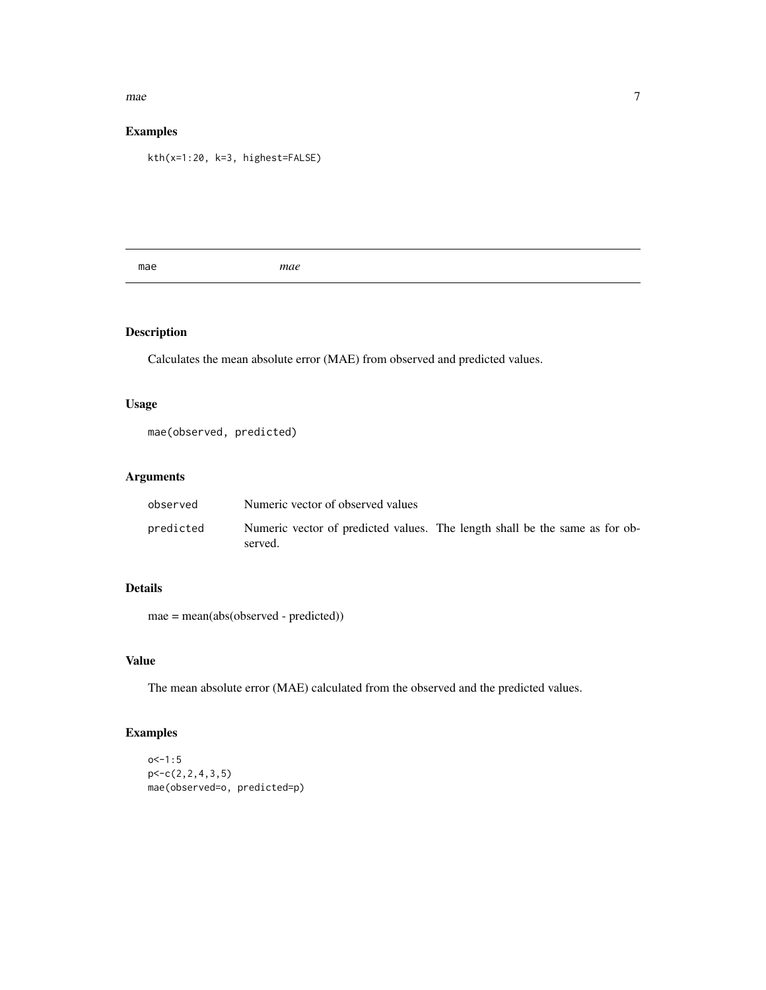#### <span id="page-6-0"></span> $mae$  7

#### Examples

kth(x=1:20, k=3, highest=FALSE)

mae *mae*

# Description

Calculates the mean absolute error (MAE) from observed and predicted values.

#### Usage

mae(observed, predicted)

# Arguments

| observed  | Numeric vector of observed values                                                      |
|-----------|----------------------------------------------------------------------------------------|
| predicted | Numeric vector of predicted values. The length shall be the same as for ob-<br>served. |

#### Details

mae = mean(abs(observed - predicted))

## Value

The mean absolute error (MAE) calculated from the observed and the predicted values.

```
o < -1:5p<-c(2,2,4,3,5)
mae(observed=o, predicted=p)
```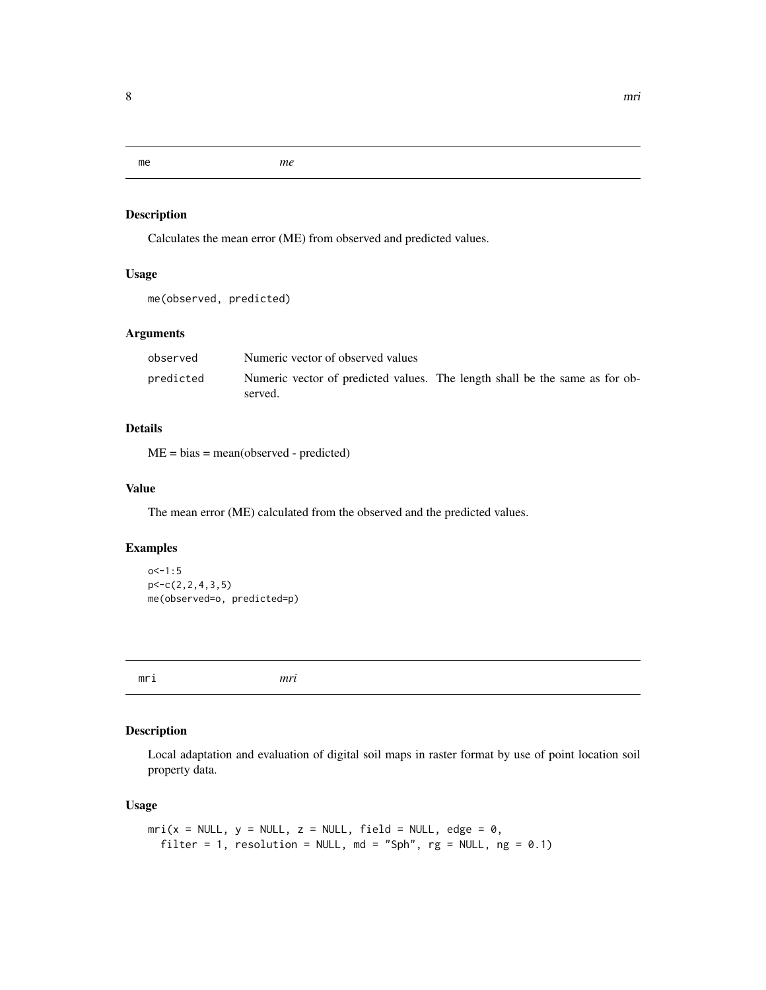<span id="page-7-0"></span>me *me*

## Description

Calculates the mean error (ME) from observed and predicted values.

# Usage

```
me(observed, predicted)
```
#### Arguments

| observed  | Numeric vector of observed values                                                      |  |  |
|-----------|----------------------------------------------------------------------------------------|--|--|
| predicted | Numeric vector of predicted values. The length shall be the same as for ob-<br>served. |  |  |

#### Details

ME = bias = mean(observed - predicted)

#### Value

The mean error (ME) calculated from the observed and the predicted values.

#### Examples

```
o<-1:5p<-c(2,2,4,3,5)
me(observed=o, predicted=p)
```
mri *mri*

#### Description

Local adaptation and evaluation of digital soil maps in raster format by use of point location soil property data.

#### Usage

```
mri(x = NULL, y = NULL, z = NULL, field = NULL, edge = 0,filter = 1, resolution = NULL, md = "Sph", rg = NULL, ng = 0.1)
```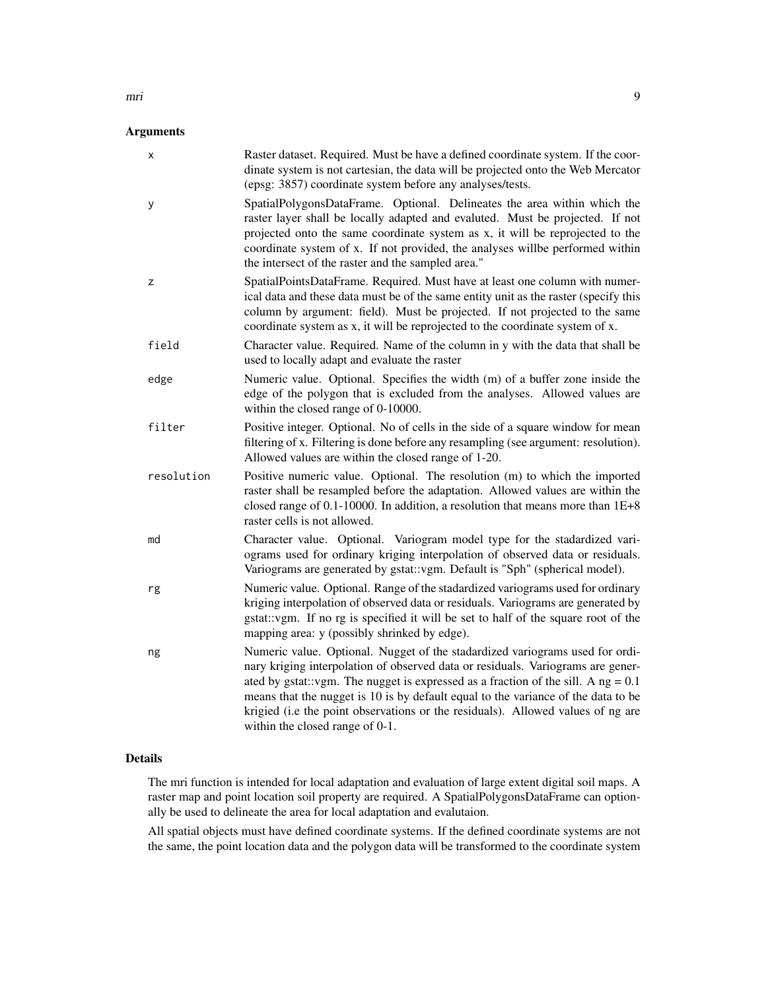#### Arguments

| X          | Raster dataset. Required. Must be have a defined coordinate system. If the coor-<br>dinate system is not cartesian, the data will be projected onto the Web Mercator<br>(epsg: 3857) coordinate system before any analyses/tests.                                                                                                                                                                                                                                 |
|------------|-------------------------------------------------------------------------------------------------------------------------------------------------------------------------------------------------------------------------------------------------------------------------------------------------------------------------------------------------------------------------------------------------------------------------------------------------------------------|
| у          | SpatialPolygonsDataFrame. Optional. Delineates the area within which the<br>raster layer shall be locally adapted and evaluted. Must be projected. If not<br>projected onto the same coordinate system as x, it will be reprojected to the<br>coordinate system of x. If not provided, the analyses willbe performed within<br>the intersect of the raster and the sampled area."                                                                                 |
| z          | SpatialPointsDataFrame. Required. Must have at least one column with numer-<br>ical data and these data must be of the same entity unit as the raster (specify this<br>column by argument: field). Must be projected. If not projected to the same<br>coordinate system as x, it will be reprojected to the coordinate system of x.                                                                                                                               |
| field      | Character value. Required. Name of the column in y with the data that shall be<br>used to locally adapt and evaluate the raster                                                                                                                                                                                                                                                                                                                                   |
| edge       | Numeric value. Optional. Specifies the width (m) of a buffer zone inside the<br>edge of the polygon that is excluded from the analyses. Allowed values are<br>within the closed range of 0-10000.                                                                                                                                                                                                                                                                 |
| filter     | Positive integer. Optional. No of cells in the side of a square window for mean<br>filtering of x. Filtering is done before any resampling (see argument: resolution).<br>Allowed values are within the closed range of 1-20.                                                                                                                                                                                                                                     |
| resolution | Positive numeric value. Optional. The resolution (m) to which the imported<br>raster shall be resampled before the adaptation. Allowed values are within the<br>closed range of $0.1$ -10000. In addition, a resolution that means more than $1E+8$<br>raster cells is not allowed.                                                                                                                                                                               |
| md         | Character value. Optional. Variogram model type for the stadardized vari-<br>ograms used for ordinary kriging interpolation of observed data or residuals.<br>Variograms are generated by gstat: vgm. Default is "Sph" (spherical model).                                                                                                                                                                                                                         |
| rg         | Numeric value. Optional. Range of the stadardized variograms used for ordinary<br>kriging interpolation of observed data or residuals. Variograms are generated by<br>gstat: vgm. If no rg is specified it will be set to half of the square root of the<br>mapping area: y (possibly shrinked by edge).                                                                                                                                                          |
| ng         | Numeric value. Optional. Nugget of the stadardized variograms used for ordi-<br>nary kriging interpolation of observed data or residuals. Variograms are gener-<br>ated by gstat::vgm. The nugget is expressed as a fraction of the sill. A $ng = 0.1$<br>means that the nugget is 10 is by default equal to the variance of the data to be<br>krigied (i.e the point observations or the residuals). Allowed values of ng are<br>within the closed range of 0-1. |

#### Details

The mri function is intended for local adaptation and evaluation of large extent digital soil maps. A raster map and point location soil property are required. A SpatialPolygonsDataFrame can optionally be used to delineate the area for local adaptation and evalutaion.

All spatial objects must have defined coordinate systems. If the defined coordinate systems are not the same, the point location data and the polygon data will be transformed to the coordinate system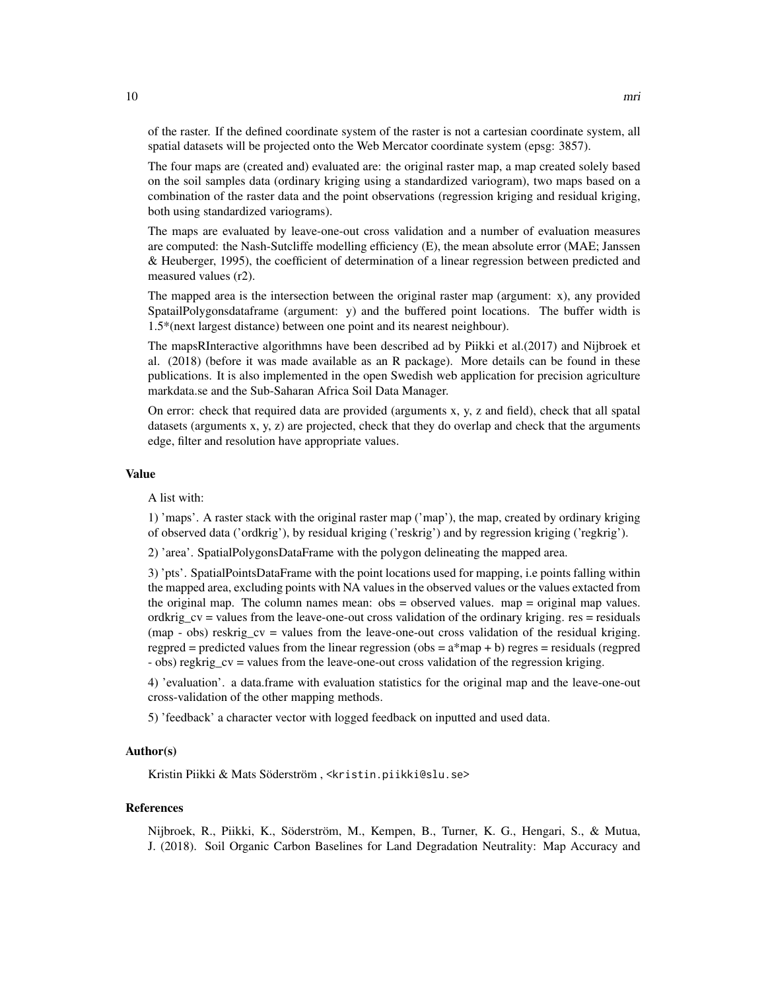of the raster. If the defined coordinate system of the raster is not a cartesian coordinate system, all spatial datasets will be projected onto the Web Mercator coordinate system (epsg: 3857).

The four maps are (created and) evaluated are: the original raster map, a map created solely based on the soil samples data (ordinary kriging using a standardized variogram), two maps based on a combination of the raster data and the point observations (regression kriging and residual kriging, both using standardized variograms).

The maps are evaluated by leave-one-out cross validation and a number of evaluation measures are computed: the Nash-Sutcliffe modelling efficiency (E), the mean absolute error (MAE; Janssen & Heuberger, 1995), the coefficient of determination of a linear regression between predicted and measured values (r2).

The mapped area is the intersection between the original raster map (argument: x), any provided SpatailPolygonsdataframe (argument: y) and the buffered point locations. The buffer width is 1.5\*(next largest distance) between one point and its nearest neighbour).

The mapsRInteractive algorithmns have been described ad by Piikki et al.(2017) and Nijbroek et al. (2018) (before it was made available as an R package). More details can be found in these publications. It is also implemented in the open Swedish web application for precision agriculture markdata.se and the Sub-Saharan Africa Soil Data Manager.

On error: check that required data are provided (arguments x, y, z and field), check that all spatal datasets (arguments x, y, z) are projected, check that they do overlap and check that the arguments edge, filter and resolution have appropriate values.

#### Value

A list with:

1) 'maps'. A raster stack with the original raster map ('map'), the map, created by ordinary kriging of observed data ('ordkrig'), by residual kriging ('reskrig') and by regression kriging ('regkrig').

2) 'area'. SpatialPolygonsDataFrame with the polygon delineating the mapped area.

3) 'pts'. SpatialPointsDataFrame with the point locations used for mapping, i.e points falling within the mapped area, excluding points with NA values in the observed values or the values extacted from the original map. The column names mean: obs = observed values. map = original map values. ordkrig\_cv = values from the leave-one-out cross validation of the ordinary kriging. res = residuals (map - obs) reskrig\_cv = values from the leave-one-out cross validation of the residual kriging. regpred = predicted values from the linear regression (obs =  $a*map + b$ ) regres = residuals (regpred - obs) regkrig cv = values from the leave-one-out cross validation of the regression kriging.

4) 'evaluation'. a data.frame with evaluation statistics for the original map and the leave-one-out cross-validation of the other mapping methods.

5) 'feedback' a character vector with logged feedback on inputted and used data.

#### Author(s)

Kristin Piikki & Mats Söderström , <kristin.piikki@slu.se>

#### References

Nijbroek, R., Piikki, K., Söderström, M., Kempen, B., Turner, K. G., Hengari, S., & Mutua, J. (2018). Soil Organic Carbon Baselines for Land Degradation Neutrality: Map Accuracy and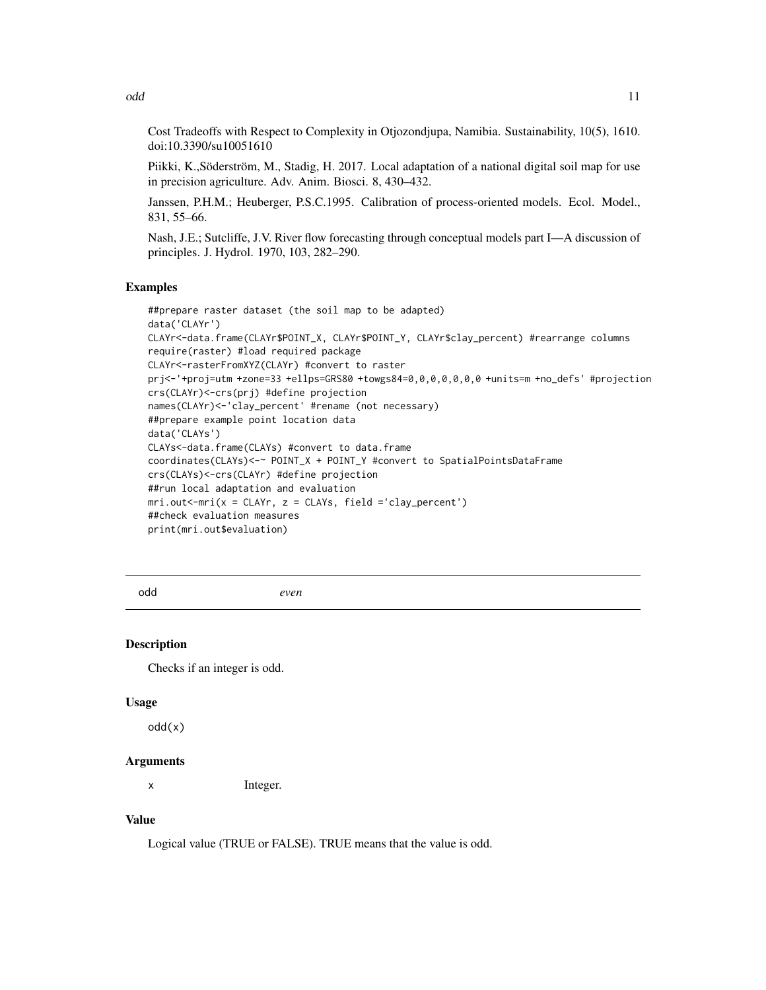<span id="page-10-0"></span>odd ann an India ann an India ann an India ann an India ann an India ann an India ann an India ann an India an

Cost Tradeoffs with Respect to Complexity in Otjozondjupa, Namibia. Sustainability, 10(5), 1610. doi:10.3390/su10051610

Piikki, K.,Söderström, M., Stadig, H. 2017. Local adaptation of a national digital soil map for use in precision agriculture. Adv. Anim. Biosci. 8, 430–432.

Janssen, P.H.M.; Heuberger, P.S.C.1995. Calibration of process-oriented models. Ecol. Model., 831, 55–66.

Nash, J.E.; Sutcliffe, J.V. River flow forecasting through conceptual models part I—A discussion of principles. J. Hydrol. 1970, 103, 282–290.

#### Examples

##prepare raster dataset (the soil map to be adapted) data('CLAYr') CLAYr<-data.frame(CLAYr\$POINT\_X, CLAYr\$POINT\_Y, CLAYr\$clay\_percent) #rearrange columns require(raster) #load required package CLAYr<-rasterFromXYZ(CLAYr) #convert to raster prj<-'+proj=utm +zone=33 +ellps=GRS80 +towgs84=0,0,0,0,0,0,0 +units=m +no\_defs' #projection crs(CLAYr)<-crs(prj) #define projection names(CLAYr)<-'clay\_percent' #rename (not necessary) ##prepare example point location data data('CLAYs') CLAYs<-data.frame(CLAYs) #convert to data.frame coordinates(CLAYs)<-~ POINT\_X + POINT\_Y #convert to SpatialPointsDataFrame crs(CLAYs)<-crs(CLAYr) #define projection ##run local adaptation and evaluation mri.out<-mri(x = CLAYr, z = CLAYs, field ='clay\_percent') ##check evaluation measures print(mri.out\$evaluation)

odd *even*

#### Description

Checks if an integer is odd.

#### Usage

odd(x)

#### Arguments

x Integer.

#### Value

Logical value (TRUE or FALSE). TRUE means that the value is odd.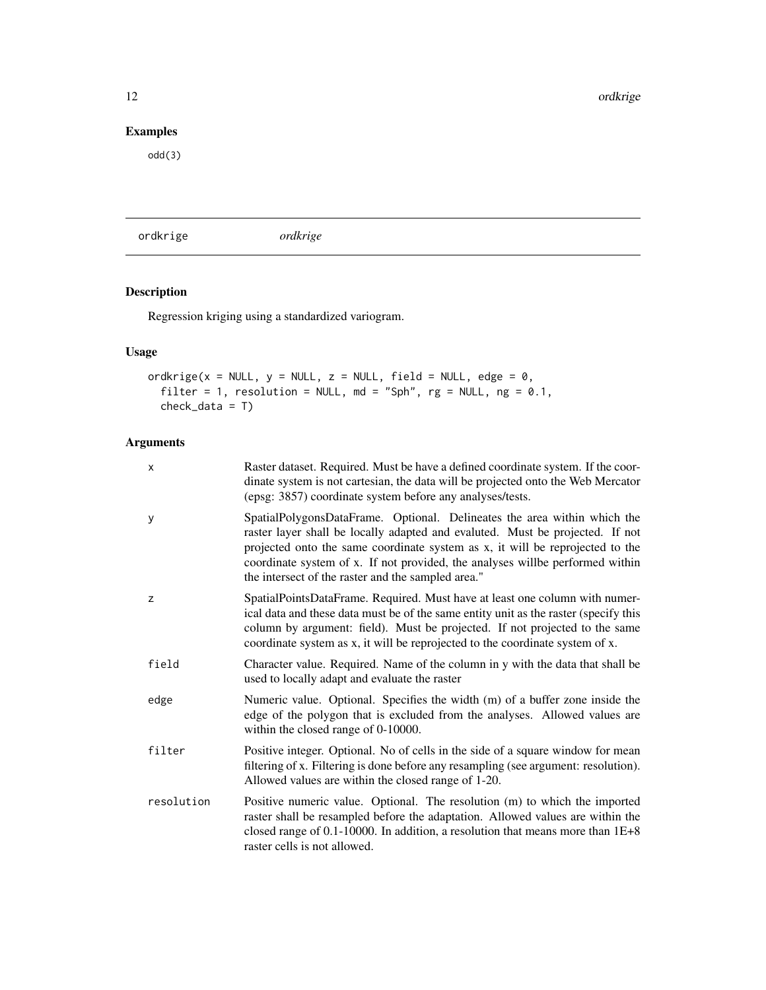## <span id="page-11-0"></span>Examples

odd(3)

ordkrige *ordkrige*

# Description

Regression kriging using a standardized variogram.

# Usage

```
ordkrige(x = NULL, y = NULL, z = NULL, field = NULL, edge = \theta,
  filter = 1, resolution = NULL, md = "Sph", rg = NULL, ng = 0.1,check_data = T)
```

| X          | Raster dataset. Required. Must be have a defined coordinate system. If the coor-<br>dinate system is not cartesian, the data will be projected onto the Web Mercator<br>(epsg: 3857) coordinate system before any analyses/tests.                                                                                                                                                 |
|------------|-----------------------------------------------------------------------------------------------------------------------------------------------------------------------------------------------------------------------------------------------------------------------------------------------------------------------------------------------------------------------------------|
| У          | SpatialPolygonsDataFrame. Optional. Delineates the area within which the<br>raster layer shall be locally adapted and evaluted. Must be projected. If not<br>projected onto the same coordinate system as x, it will be reprojected to the<br>coordinate system of x. If not provided, the analyses willbe performed within<br>the intersect of the raster and the sampled area." |
| Z          | SpatialPointsDataFrame. Required. Must have at least one column with numer-<br>ical data and these data must be of the same entity unit as the raster (specify this<br>column by argument: field). Must be projected. If not projected to the same<br>coordinate system as x, it will be reprojected to the coordinate system of x.                                               |
| field      | Character value. Required. Name of the column in y with the data that shall be<br>used to locally adapt and evaluate the raster                                                                                                                                                                                                                                                   |
| edge       | Numeric value. Optional. Specifies the width (m) of a buffer zone inside the<br>edge of the polygon that is excluded from the analyses. Allowed values are<br>within the closed range of 0-10000.                                                                                                                                                                                 |
| filter     | Positive integer. Optional. No of cells in the side of a square window for mean<br>filtering of x. Filtering is done before any resampling (see argument: resolution).<br>Allowed values are within the closed range of 1-20.                                                                                                                                                     |
| resolution | Positive numeric value. Optional. The resolution (m) to which the imported<br>raster shall be resampled before the adaptation. Allowed values are within the<br>closed range of $0.1$ -10000. In addition, a resolution that means more than $1E+8$<br>raster cells is not allowed.                                                                                               |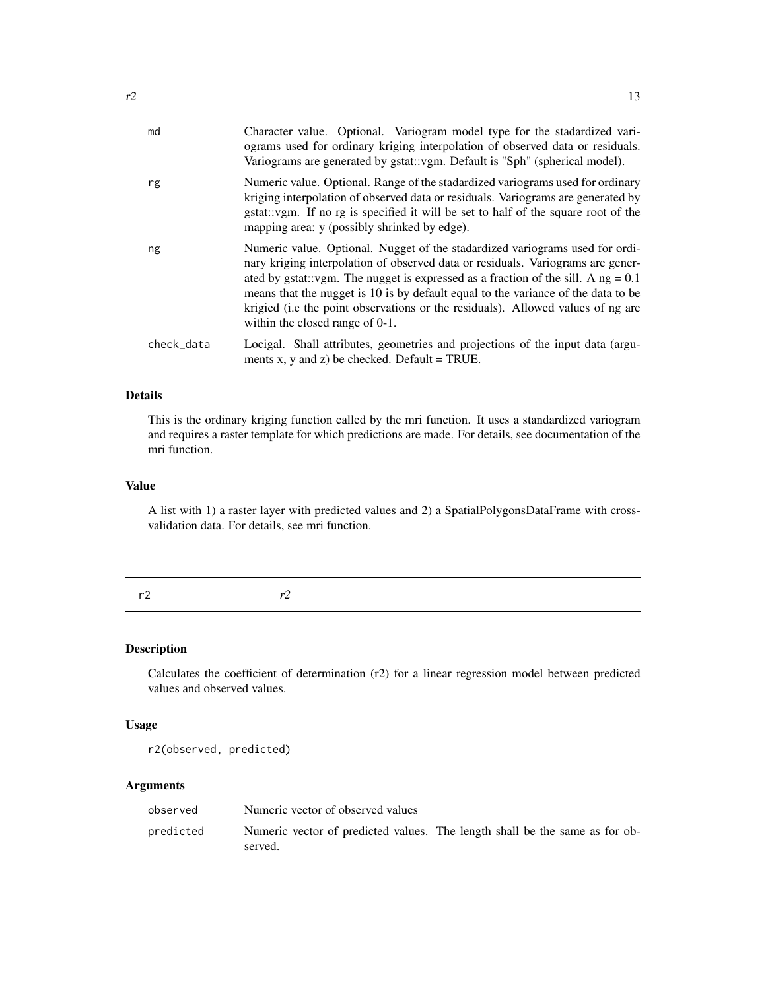<span id="page-12-0"></span>

| md         | Character value. Optional. Variogram model type for the stadardized vari-<br>ograms used for ordinary kriging interpolation of observed data or residuals.<br>Variograms are generated by gstat::vgm. Default is "Sph" (spherical model).                                                                                                                                                                                                                         |
|------------|-------------------------------------------------------------------------------------------------------------------------------------------------------------------------------------------------------------------------------------------------------------------------------------------------------------------------------------------------------------------------------------------------------------------------------------------------------------------|
| rg         | Numeric value. Optional. Range of the stadardized variograms used for ordinary<br>kriging interpolation of observed data or residuals. Variograms are generated by<br>gstat: vgm. If no rg is specified it will be set to half of the square root of the<br>mapping area: y (possibly shrinked by edge).                                                                                                                                                          |
| ng         | Numeric value. Optional. Nugget of the stadardized variograms used for ordi-<br>nary kriging interpolation of observed data or residuals. Variograms are gener-<br>ated by gstat::vgm. The nugget is expressed as a fraction of the sill. A $ng = 0.1$<br>means that the nugget is 10 is by default equal to the variance of the data to be<br>krigied (i.e the point observations or the residuals). Allowed values of ng are<br>within the closed range of 0-1. |
| check_data | Locigal. Shall attributes, geometries and projections of the input data (argu-<br>ments x, y and z) be checked. Default = TRUE.                                                                                                                                                                                                                                                                                                                                   |

### Details

This is the ordinary kriging function called by the mri function. It uses a standardized variogram and requires a raster template for which predictions are made. For details, see documentation of the mri function.

#### Value

A list with 1) a raster layer with predicted values and 2) a SpatialPolygonsDataFrame with crossvalidation data. For details, see mri function.

r2 *r2*

#### Description

Calculates the coefficient of determination (r2) for a linear regression model between predicted values and observed values.

#### Usage

r2(observed, predicted)

| observed  | Numeric vector of observed values                                                      |  |  |  |
|-----------|----------------------------------------------------------------------------------------|--|--|--|
| predicted | Numeric vector of predicted values. The length shall be the same as for ob-<br>served. |  |  |  |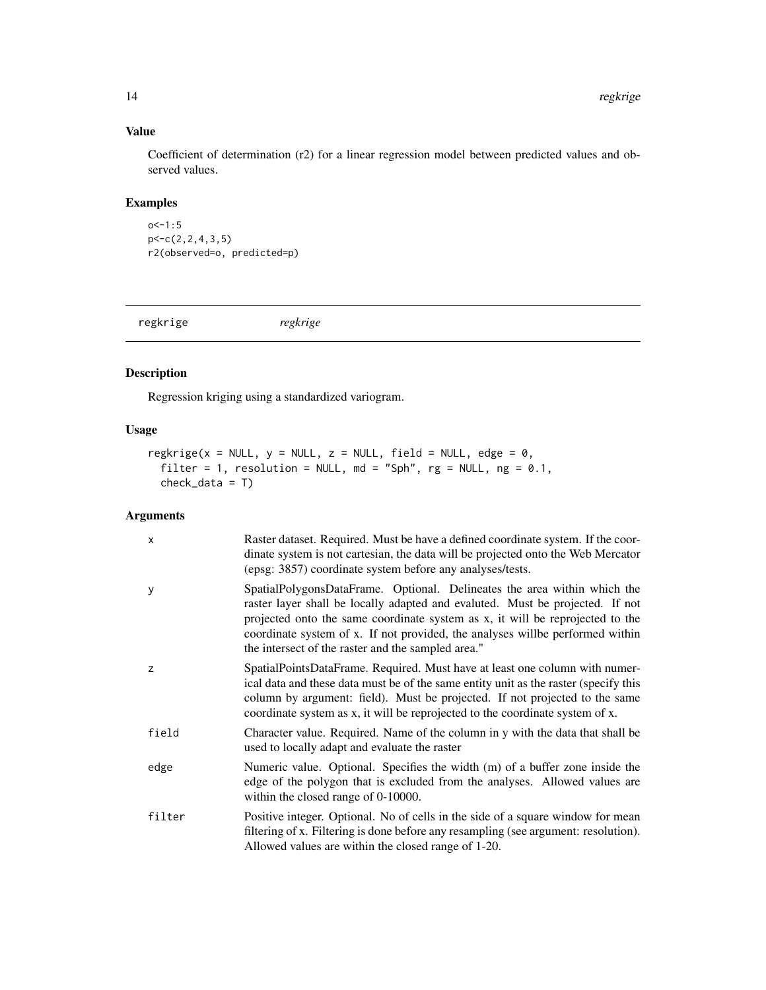### Value

Coefficient of determination (r2) for a linear regression model between predicted values and observed values.

#### Examples

 $o < -1:5$ p<-c(2,2,4,3,5) r2(observed=o, predicted=p)

regkrige *regkrige*

#### Description

Regression kriging using a standardized variogram.

#### Usage

```
regkrige(x = NULL, y = NULL, z = NULL, field = NULL, edge = 0,
 filter = 1, resolution = NULL, md = "Sph", rg = NULL, ng = 0.1,
 check_data = T)
```

| X      | Raster dataset. Required. Must be have a defined coordinate system. If the coor-<br>dinate system is not cartesian, the data will be projected onto the Web Mercator<br>(epsg: 3857) coordinate system before any analyses/tests.                                                                                                                                                  |
|--------|------------------------------------------------------------------------------------------------------------------------------------------------------------------------------------------------------------------------------------------------------------------------------------------------------------------------------------------------------------------------------------|
| У      | SpatialPolygonsDataFrame. Optional. Delineates the area within which the<br>raster layer shall be locally adapted and evaluted. Must be projected. If not<br>projected onto the same coordinate system as x, it will be reprojected to the<br>coordinate system of x. If not provided, the analyses will be performed within<br>the intersect of the raster and the sampled area." |
| Z      | SpatialPointsDataFrame. Required. Must have at least one column with numer-<br>ical data and these data must be of the same entity unit as the raster (specify this<br>column by argument: field). Must be projected. If not projected to the same<br>coordinate system as x, it will be reprojected to the coordinate system of x.                                                |
| field  | Character value. Required. Name of the column in y with the data that shall be<br>used to locally adapt and evaluate the raster                                                                                                                                                                                                                                                    |
| edge   | Numeric value. Optional. Specifies the width (m) of a buffer zone inside the<br>edge of the polygon that is excluded from the analyses. Allowed values are<br>within the closed range of 0-10000.                                                                                                                                                                                  |
| filter | Positive integer. Optional. No of cells in the side of a square window for mean<br>filtering of x. Filtering is done before any resampling (see argument: resolution).<br>Allowed values are within the closed range of 1-20.                                                                                                                                                      |

<span id="page-13-0"></span>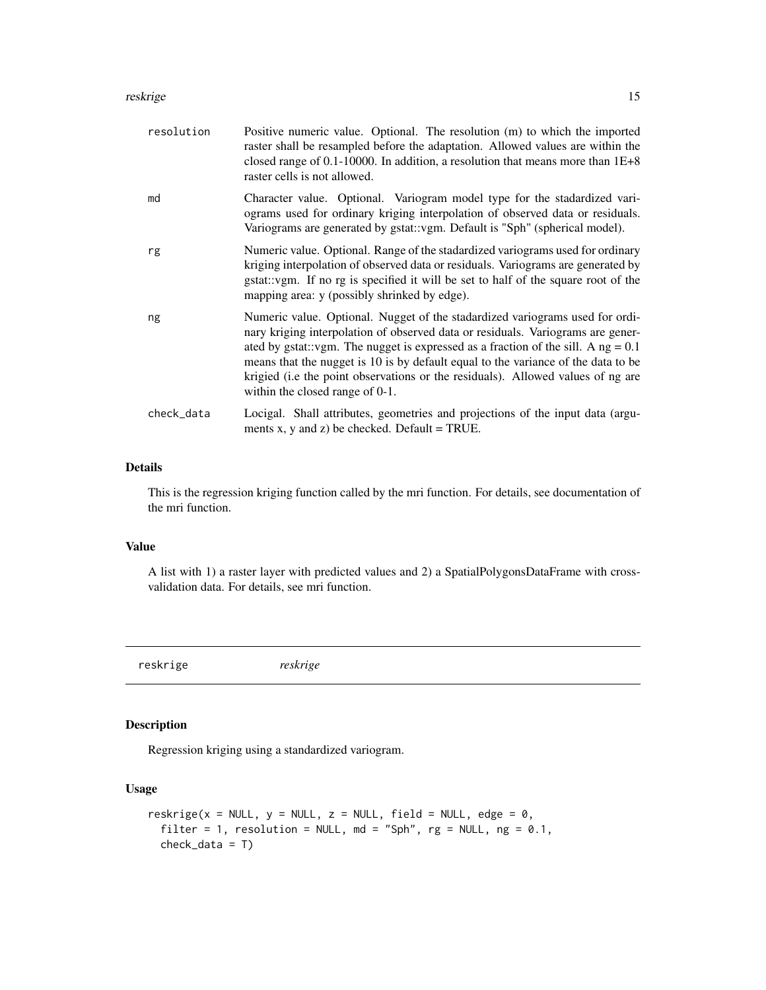#### <span id="page-14-0"></span>reskrige to the control of the control of the control of the control of the control of the control of the control of the control of the control of the control of the control of the control of the control of the control of

| resolution | Positive numeric value. Optional. The resolution (m) to which the imported<br>raster shall be resampled before the adaptation. Allowed values are within the<br>closed range of 0.1-10000. In addition, a resolution that means more than $1E+8$<br>raster cells is not allowed.                                                                                                                                                                                  |
|------------|-------------------------------------------------------------------------------------------------------------------------------------------------------------------------------------------------------------------------------------------------------------------------------------------------------------------------------------------------------------------------------------------------------------------------------------------------------------------|
| md         | Character value. Optional. Variogram model type for the stadardized vari-<br>ograms used for ordinary kriging interpolation of observed data or residuals.<br>Variograms are generated by gstat::vgm. Default is "Sph" (spherical model).                                                                                                                                                                                                                         |
| rg         | Numeric value. Optional. Range of the stadardized variograms used for ordinary<br>kriging interpolation of observed data or residuals. Variograms are generated by<br>gstat::vgm. If no rg is specified it will be set to half of the square root of the<br>mapping area: y (possibly shrinked by edge).                                                                                                                                                          |
| ng         | Numeric value. Optional. Nugget of the stadardized variograms used for ordi-<br>nary kriging interpolation of observed data or residuals. Variograms are gener-<br>ated by gstat::vgm. The nugget is expressed as a fraction of the sill. A $ng = 0.1$<br>means that the nugget is 10 is by default equal to the variance of the data to be<br>krigied (i.e the point observations or the residuals). Allowed values of ng are<br>within the closed range of 0-1. |
| check_data | Locigal. Shall attributes, geometries and projections of the input data (argu-<br>ments x, y and z) be checked. Default = TRUE.                                                                                                                                                                                                                                                                                                                                   |
|            |                                                                                                                                                                                                                                                                                                                                                                                                                                                                   |

#### Details

This is the regression kriging function called by the mri function. For details, see documentation of the mri function.

#### Value

A list with 1) a raster layer with predicted values and 2) a SpatialPolygonsDataFrame with crossvalidation data. For details, see mri function.

reskrige *reskrige*

#### Description

Regression kriging using a standardized variogram.

#### Usage

```
reskrige(x = NULL, y = NULL, z = NULL, field = NULL, edge = \theta,
  filter = 1, resolution = NULL, md = "Sph", rg = NULL, ng = 0.1,
  check\_data = T)
```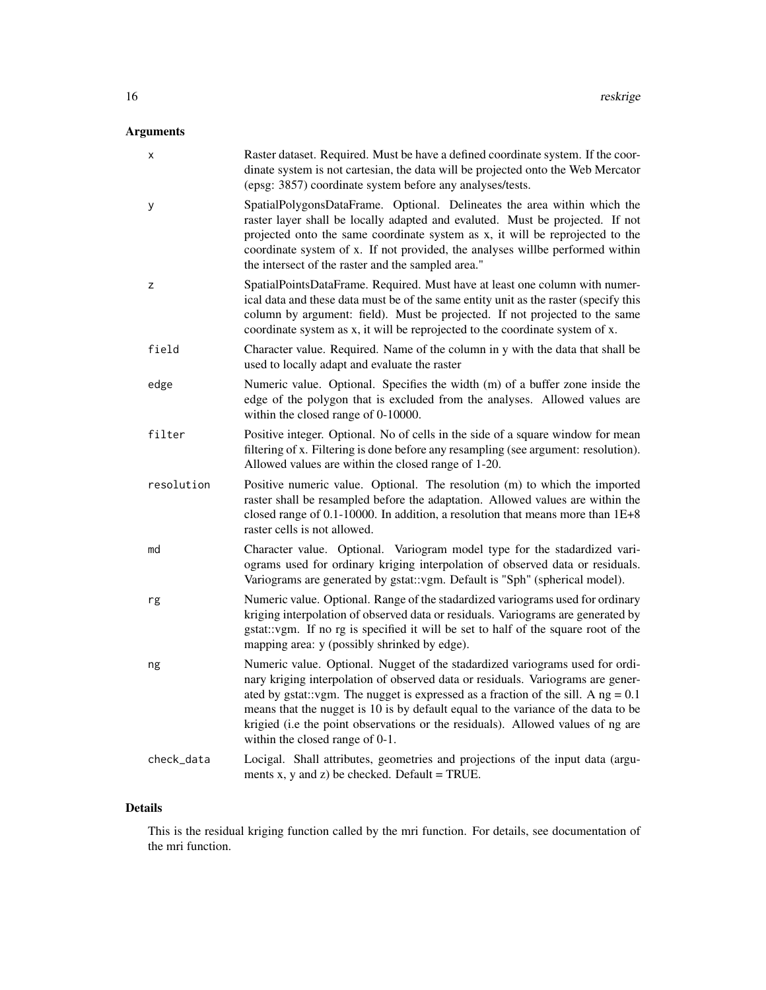# Arguments

| х          | Raster dataset. Required. Must be have a defined coordinate system. If the coor-<br>dinate system is not cartesian, the data will be projected onto the Web Mercator<br>(epsg: 3857) coordinate system before any analyses/tests.                                                                                                                                                                                                                                 |
|------------|-------------------------------------------------------------------------------------------------------------------------------------------------------------------------------------------------------------------------------------------------------------------------------------------------------------------------------------------------------------------------------------------------------------------------------------------------------------------|
| у          | SpatialPolygonsDataFrame. Optional. Delineates the area within which the<br>raster layer shall be locally adapted and evaluted. Must be projected. If not<br>projected onto the same coordinate system as x, it will be reprojected to the<br>coordinate system of x. If not provided, the analyses willbe performed within<br>the intersect of the raster and the sampled area."                                                                                 |
| z          | SpatialPointsDataFrame. Required. Must have at least one column with numer-<br>ical data and these data must be of the same entity unit as the raster (specify this<br>column by argument: field). Must be projected. If not projected to the same<br>coordinate system as x, it will be reprojected to the coordinate system of x.                                                                                                                               |
| field      | Character value. Required. Name of the column in y with the data that shall be<br>used to locally adapt and evaluate the raster                                                                                                                                                                                                                                                                                                                                   |
| edge       | Numeric value. Optional. Specifies the width (m) of a buffer zone inside the<br>edge of the polygon that is excluded from the analyses. Allowed values are<br>within the closed range of 0-10000.                                                                                                                                                                                                                                                                 |
| filter     | Positive integer. Optional. No of cells in the side of a square window for mean<br>filtering of x. Filtering is done before any resampling (see argument: resolution).<br>Allowed values are within the closed range of 1-20.                                                                                                                                                                                                                                     |
| resolution | Positive numeric value. Optional. The resolution (m) to which the imported<br>raster shall be resampled before the adaptation. Allowed values are within the<br>closed range of $0.1$ -10000. In addition, a resolution that means more than $1E+8$<br>raster cells is not allowed.                                                                                                                                                                               |
| md         | Character value. Optional. Variogram model type for the stadardized vari-<br>ograms used for ordinary kriging interpolation of observed data or residuals.<br>Variograms are generated by gstat::vgm. Default is "Sph" (spherical model).                                                                                                                                                                                                                         |
| rg         | Numeric value. Optional. Range of the stadardized variograms used for ordinary<br>kriging interpolation of observed data or residuals. Variograms are generated by<br>gstat: vgm. If no rg is specified it will be set to half of the square root of the<br>mapping area: y (possibly shrinked by edge).                                                                                                                                                          |
| ng         | Numeric value. Optional. Nugget of the stadardized variograms used for ordi-<br>nary kriging interpolation of observed data or residuals. Variograms are gener-<br>ated by gstat::vgm. The nugget is expressed as a fraction of the sill. A $ng = 0.1$<br>means that the nugget is 10 is by default equal to the variance of the data to be<br>krigied (i.e the point observations or the residuals). Allowed values of ng are<br>within the closed range of 0-1. |
| check_data | Locigal. Shall attributes, geometries and projections of the input data (argu-<br>ments x, y and z) be checked. Default = TRUE.                                                                                                                                                                                                                                                                                                                                   |

# Details

This is the residual kriging function called by the mri function. For details, see documentation of the mri function.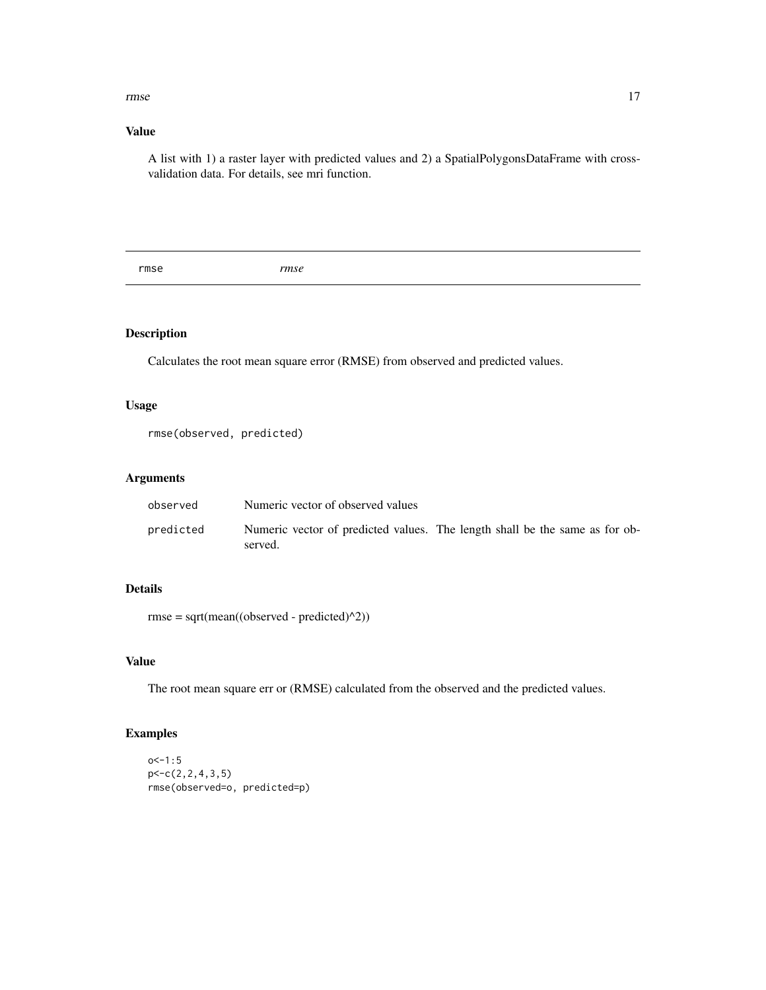#### <span id="page-16-0"></span>rmse term om de antique de la construction de la construction de la construction de la construction de la construction de la construction de la construction de la construction de la construction de la construction de la co

### Value

A list with 1) a raster layer with predicted values and 2) a SpatialPolygonsDataFrame with crossvalidation data. For details, see mri function.

rmse *rmse*

#### Description

Calculates the root mean square error (RMSE) from observed and predicted values.

#### Usage

rmse(observed, predicted)

#### Arguments

| observed  | Numeric vector of observed values                                                      |
|-----------|----------------------------------------------------------------------------------------|
| predicted | Numeric vector of predicted values. The length shall be the same as for ob-<br>served. |

# Details

rmse = sqrt(mean((observed - predicted)^2))

#### Value

The root mean square err or (RMSE) calculated from the observed and the predicted values.

```
o<-1:5p<-c(2,2,4,3,5)
rmse(observed=o, predicted=p)
```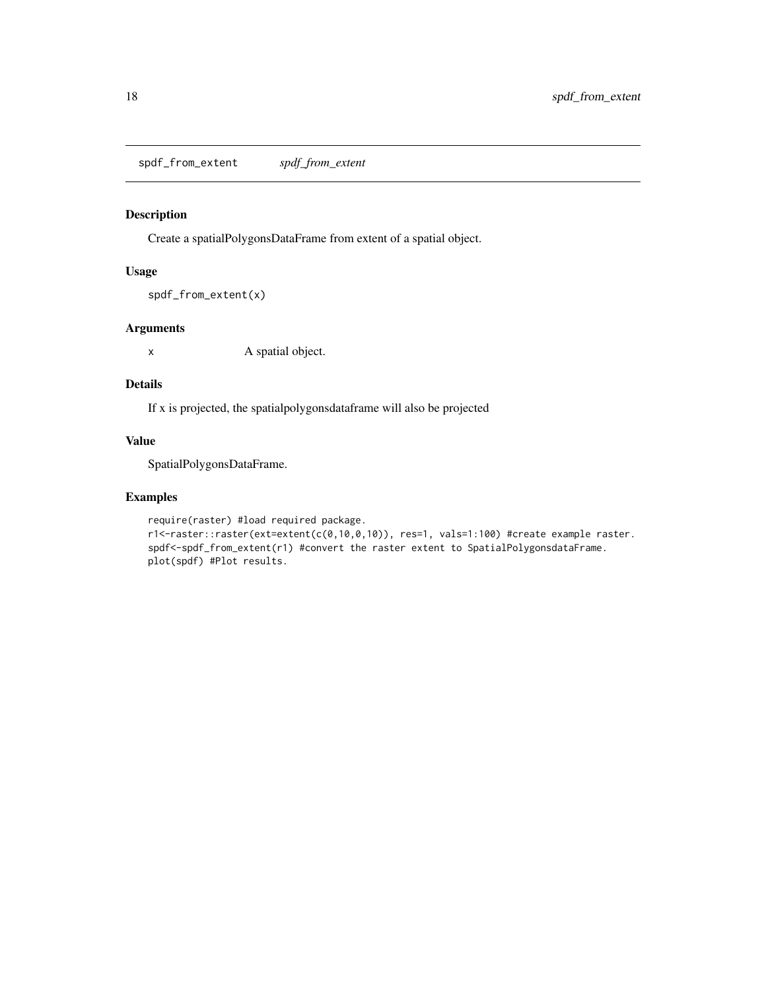<span id="page-17-0"></span>spdf\_from\_extent *spdf\_from\_extent*

#### Description

Create a spatialPolygonsDataFrame from extent of a spatial object.

#### Usage

```
spdf_from_extent(x)
```
#### Arguments

x A spatial object.

#### Details

If x is projected, the spatialpolygonsdataframe will also be projected

### Value

SpatialPolygonsDataFrame.

```
require(raster) #load required package.
r1<-raster::raster(ext=extent(c(0,10,0,10)), res=1, vals=1:100) #create example raster.
spdf<-spdf_from_extent(r1) #convert the raster extent to SpatialPolygonsdataFrame.
plot(spdf) #Plot results.
```